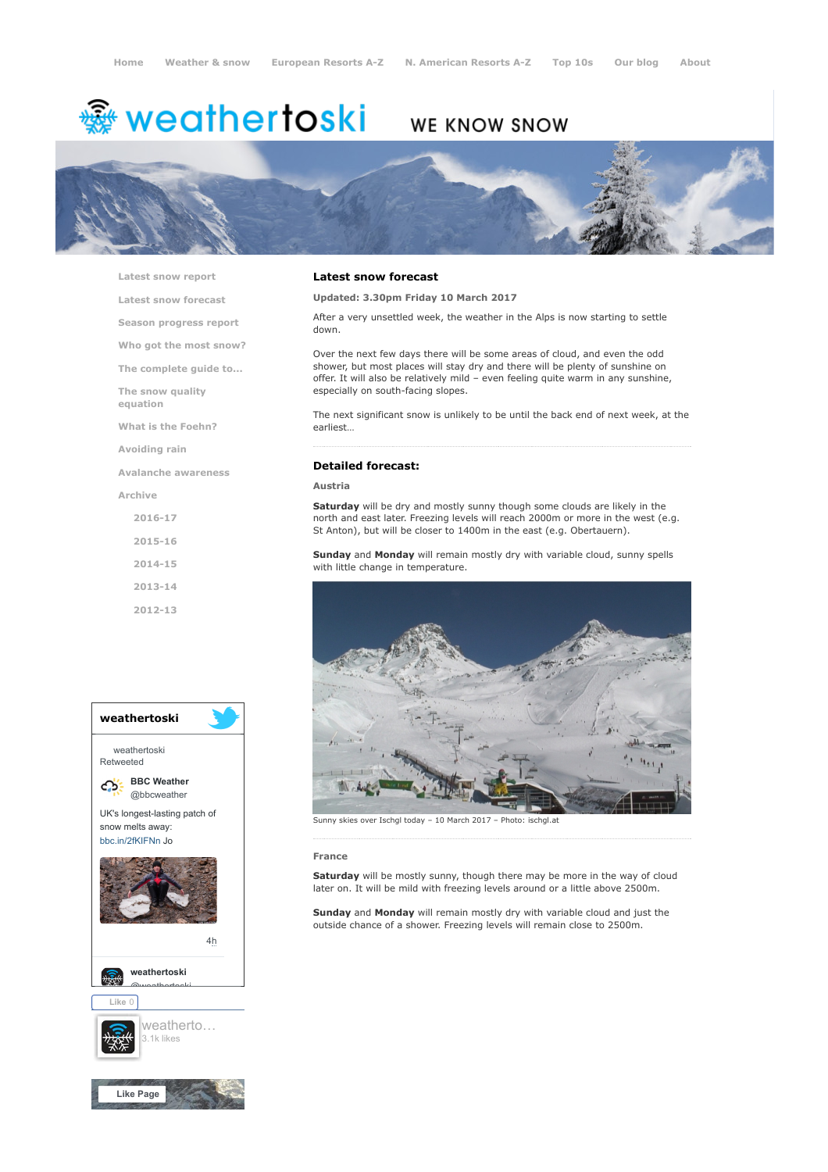# **※ weathertoski**

# WE KNOW SNOW



[Latest snow report](https://www.weathertoski.co.uk/weather-snow/latest-snow-report/)

[Latest snow forecast](https://www.weathertoski.co.uk/weather-snow/latest-snow-forecast/)

[Season progress report](https://www.weathertoski.co.uk/weather-snow/season-progress-report/)

[Who got the most snow?](https://www.weathertoski.co.uk/weather-snow/who-got-the-most-snow/)

[The complete guide to...](https://www.weathertoski.co.uk/weather-snow/the-complete-guide-to/)

[The snow quality](https://www.weathertoski.co.uk/weather-snow/the-snow-quality-equation/)

[What is the Foehn?](https://www.weathertoski.co.uk/weather-snow/what-is-the-foehn/)

[Avoiding rain](https://www.weathertoski.co.uk/weather-snow/avoiding-rain/)

[Avalanche awareness](https://www.weathertoski.co.uk/weather-snow/avalanche-awareness/)

[Archive](https://www.weathertoski.co.uk/weather-snow/archive/)

equation

- [2016-17](https://www.weathertoski.co.uk/weather-snow/archive/2016-17/) [2015-16](https://www.weathertoski.co.uk/weather-snow/archive/2015-16/)
- [2014-15](https://www.weathertoski.co.uk/weather-snow/archive/2014-15/)
- [2013-14](https://www.weathertoski.co.uk/weather-snow/archive/2013-14/)

[2012-13](https://www.weathertoski.co.uk/weather-snow/archive/2012-13/)



# Latest snow forecast

Updated: 3.30pm Friday 10 March 2017

After a very unsettled week, the weather in the Alps is now starting to settle down.

Over the next few days there will be some areas of cloud, and even the odd shower, but most places will stay dry and there will be plenty of sunshine on offer. It will also be relatively mild – even feeling quite warm in any sunshine, especially on south-facing slopes.

The next significant snow is unlikely to be until the back end of next week, at the earliest…

## Detailed forecast:

#### Austria

Saturday will be dry and mostly sunny though some clouds are likely in the north and east later. Freezing levels will reach 2000m or more in the west (e.g. St Anton), but will be closer to 1400m in the east (e.g. Obertauern).

Sunday and Monday will remain mostly dry with variable cloud, sunny spells with little change in temperature.



Sunny skies over Ischgl today – 10 March 2017 – Photo: ischgl.at

#### France

Saturday will be mostly sunny, though there may be more in the way of cloud later on. It will be mild with freezing levels around or a little above 2500m.

Sunday and Monday will remain mostly dry with variable cloud and just the outside chance of a shower. Freezing levels will remain close to 2500m.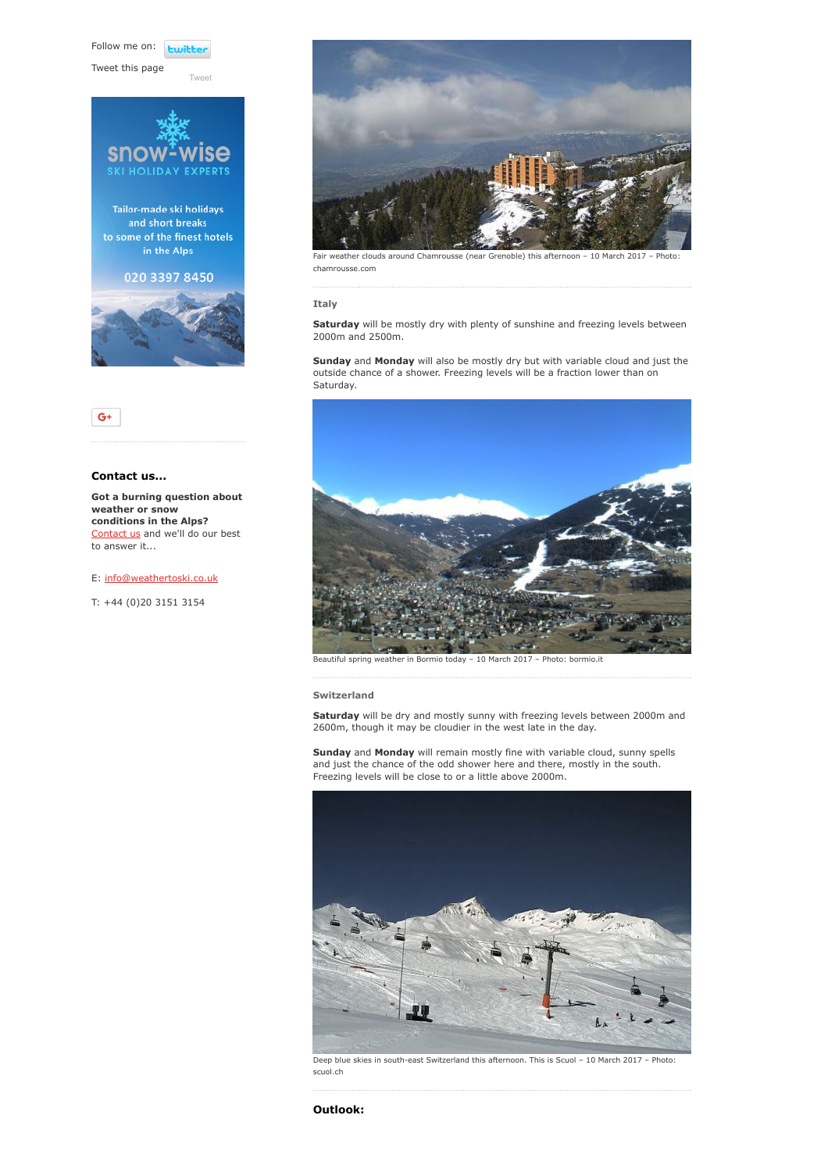Follow me on: **Lwitt** 

Tweet this page

[Tweet](https://twitter.com/intent/tweet?original_referer=https%3A%2F%2Fwww.weathertoski.co.uk%2Fweather-snow%2Farchive%2Fsnow-forecast-10-03-2017%2F&ref_src=twsrc%5Etfw&text=Weather%20to%20ski%20-%20Snow%20forecast%20-%2010%20March%202017&tw_p=tweetbutton&url=https%3A%2F%2Fwww.weathertoski.co.uk%2Fweather-snow%2Farchive%2Fsnow-forecast-10-03-2017%2F)







# Contact us...

Got a burning question about weather or snow conditions in the Alps? [Contact us](https://www.weathertoski.co.uk/about-1/contact-us/) and we'll do our best to answer it...

# E: [info@weathertoski.co.uk](mailto:fraser@weathertoski.co.uk)

T: +44 (0)20 3151 3154



Fair weather clouds around Chamrousse (near Grenoble) this afternoon – 10 March 2017 – Photo: chamrousse.com

Italy

Saturday will be mostly dry with plenty of sunshine and freezing levels between 2000m and 2500m.

Sunday and Monday will also be mostly dry but with variable cloud and just the outside chance of a shower. Freezing levels will be a fraction lower than on Saturday.



Beautiful spring weather in Bormio today – 10 March 2017 – Photo: bormio.it

### Switzerland

Saturday will be dry and mostly sunny with freezing levels between 2000m and 2600m, though it may be cloudier in the west late in the day.

Sunday and Monday will remain mostly fine with variable cloud, sunny spells and just the chance of the odd shower here and there, mostly in the south. Freezing levels will be close to or a little above 2000m.



Deep blue skies in south-east Switzerland this afternoon. This is Scuol – 10 March 2017 – Photo: scuol.ch

Outlook: